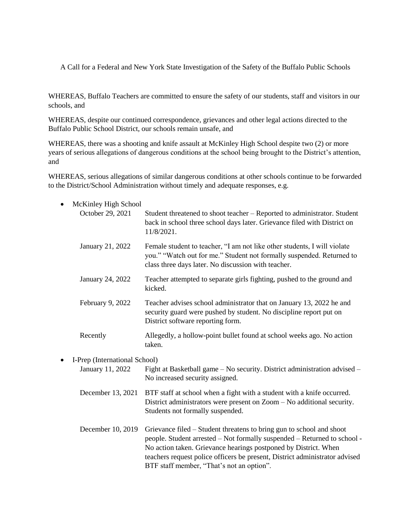A Call for a Federal and New York State Investigation of the Safety of the Buffalo Public Schools

WHEREAS, Buffalo Teachers are committed to ensure the safety of our students, staff and visitors in our schools, and

WHEREAS, despite our continued correspondence, grievances and other legal actions directed to the Buffalo Public School District, our schools remain unsafe, and

WHEREAS, there was a shooting and knife assault at McKinley High School despite two (2) or more years of serious allegations of dangerous conditions at the school being brought to the District's attention, and

WHEREAS, serious allegations of similar dangerous conditions at other schools continue to be forwarded to the District/School Administration without timely and adequate responses, e.g.

| McKinley High School          |                                                                                                                                                                                                                                                                                                                                                 |
|-------------------------------|-------------------------------------------------------------------------------------------------------------------------------------------------------------------------------------------------------------------------------------------------------------------------------------------------------------------------------------------------|
| October 29, 2021              | Student threatened to shoot teacher - Reported to administrator. Student<br>back in school three school days later. Grievance filed with District on<br>11/8/2021.                                                                                                                                                                              |
| January 21, 2022              | Female student to teacher, "I am not like other students, I will violate<br>you." "Watch out for me." Student not formally suspended. Returned to<br>class three days later. No discussion with teacher.                                                                                                                                        |
| January 24, 2022              | Teacher attempted to separate girls fighting, pushed to the ground and<br>kicked.                                                                                                                                                                                                                                                               |
| February 9, 2022              | Teacher advises school administrator that on January 13, 2022 he and<br>security guard were pushed by student. No discipline report put on<br>District software reporting form.                                                                                                                                                                 |
| Recently                      | Allegedly, a hollow-point bullet found at school weeks ago. No action<br>taken.                                                                                                                                                                                                                                                                 |
| I-Prep (International School) |                                                                                                                                                                                                                                                                                                                                                 |
| January 11, 2022              | Fight at Basketball game – No security. District administration advised –<br>No increased security assigned.                                                                                                                                                                                                                                    |
| December 13, 2021             | BTF staff at school when a fight with a student with a knife occurred.<br>District administrators were present on Zoom – No additional security.<br>Students not formally suspended.                                                                                                                                                            |
| December 10, 2019             | Grievance filed – Student threatens to bring gun to school and shoot<br>people. Student arrested - Not formally suspended - Returned to school -<br>No action taken. Grievance hearings postponed by District. When<br>teachers request police officers be present, District administrator advised<br>BTF staff member, "That's not an option". |